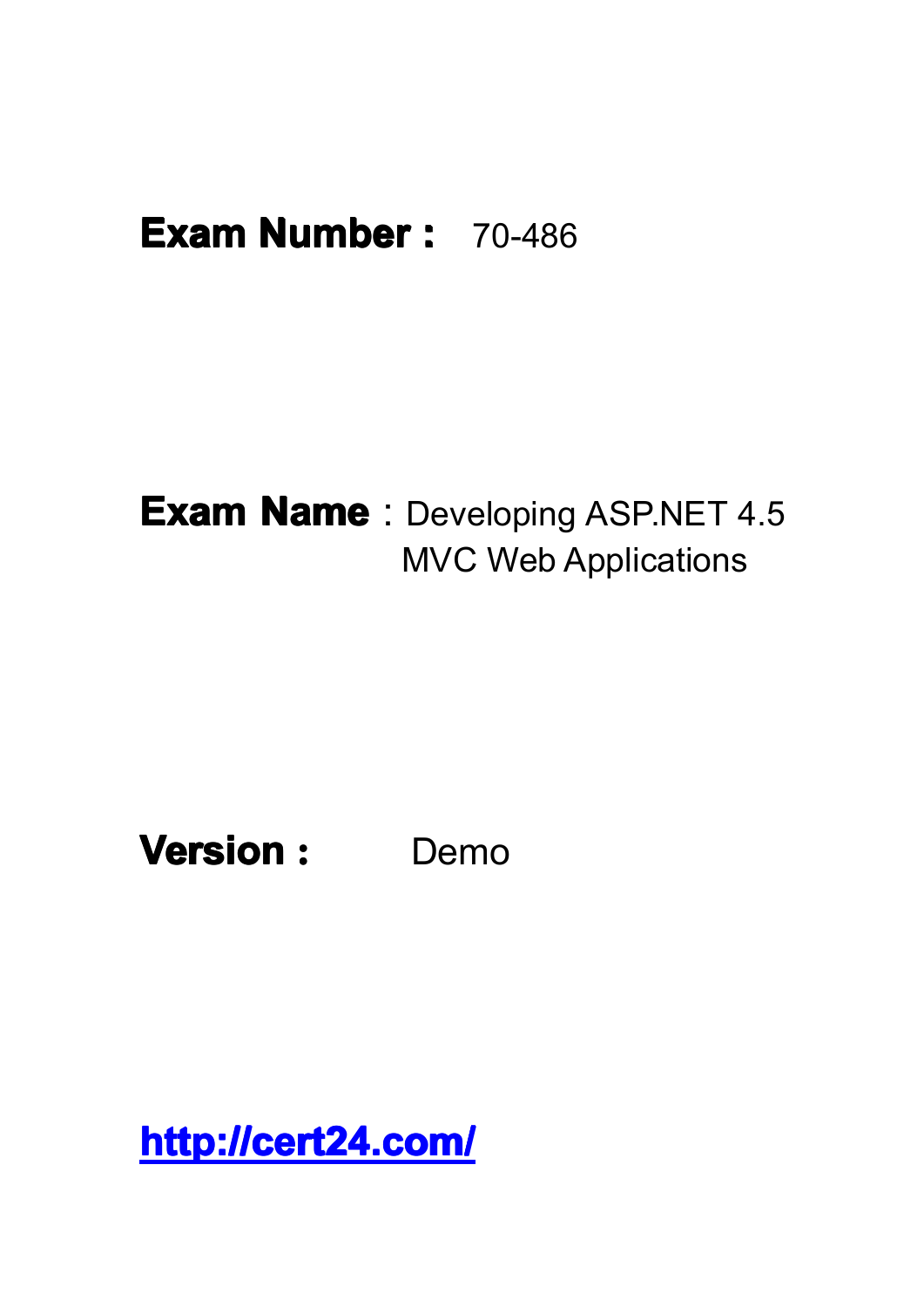## **Exam Number :** 70-486

## **Exam Name** : Developing ASP.NET 4.5 MVC Web Applications

**Version :** Demo

**<http://cert24.com/> http://cert24.com/ http://cert24.com/ http://cert24.com/**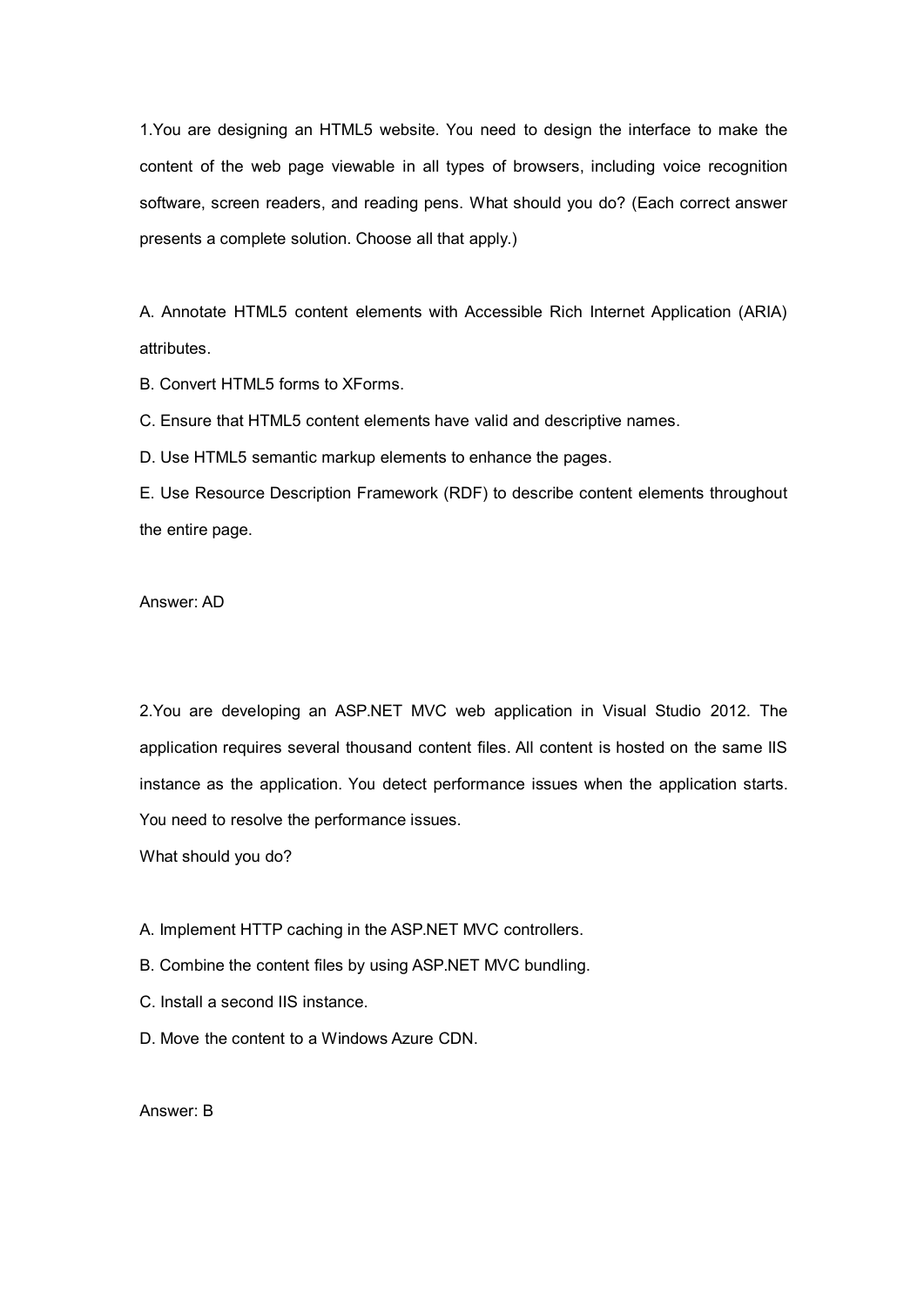1.You are designing an HTML5 website. You need to design the interface to make the content of the web page viewable in all types of browsers, including voice recognition software, screen readers, and reading pens. What should you do? (Each correct answer presents <sup>a</sup> complete solution. Choose all that apply.)

A. Annotate HTML5 content elements with Accessible Rich Internet Application (ARIA) attributes.

B. Convert HTML5 forms to XForms.

C. Ensure that HTML5 content elements have valid and descriptive names.

D. Use HTML5 semantic markup elements to enhance the pages.

E. Use Resource Description Framework (RDF) to describe content elements throughout the entire page.

Answer: AD

2.You are developing an ASP.NET MVC web application in Visual Studio 2012. The application requires several thousand content files. All content is hosted on the same IIS instance as the application. You detect performance issues when the application starts. You need to resolve the performance issues.

What should you do?

A. Implement HTTP caching in the ASP.NET MVC controllers.

B. Combine the content files by using ASP.NET MVC bundling.

C. Install a second IIS instance.

D. Move the content to a Windows Azure CDN.

Answer: B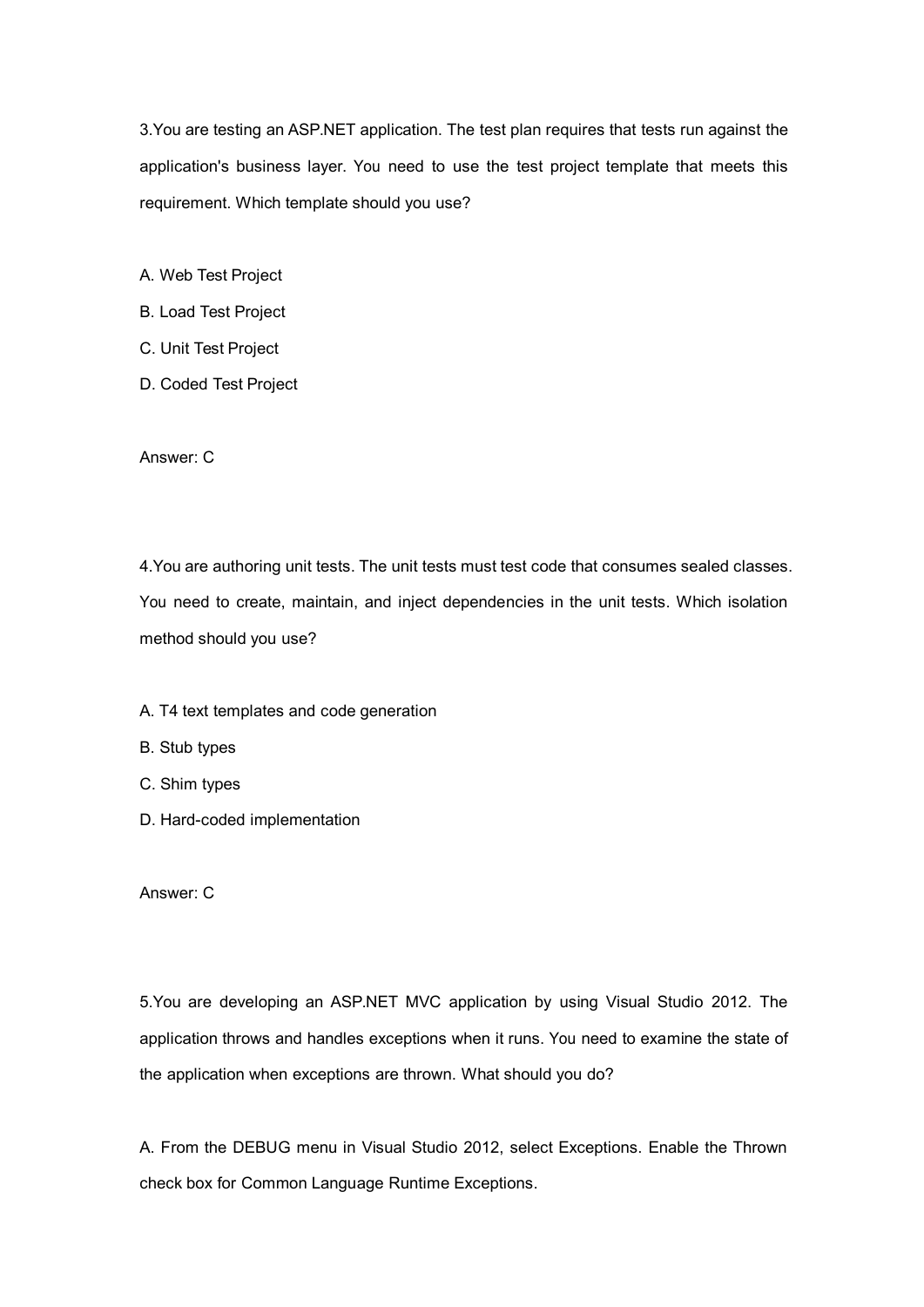3.You are testing an ASP.NET application. The test plan requires that tests run against the application's business layer. You need to use the test project template that meets this requirement. Which template should you use?

A. Web Test Project

- B. Load Test Project
- C. Unit Test Project
- D. Coded Test Project

Answer: C

4.You are authoring unit tests. The unit tests must test code that consumes sealed classes. You need to create, maintain, and inject dependencies in the unit tests. Which isolation method should you use?

A. T4 text templates and code generation

B. Stub types

C. Shim types

D. Hard-coded implementation

Answer: C

5.You are developing an ASP.NET MVC application by using Visual Studio 2012. The application throws and handles exceptions when it runs. You need to examine the state of the application when exceptions are thrown. What should you do?

A. From the DEBUG menu in Visual Studio 2012, select Exceptions. Enable the Thrown check box for Common Language Runtime Exceptions.